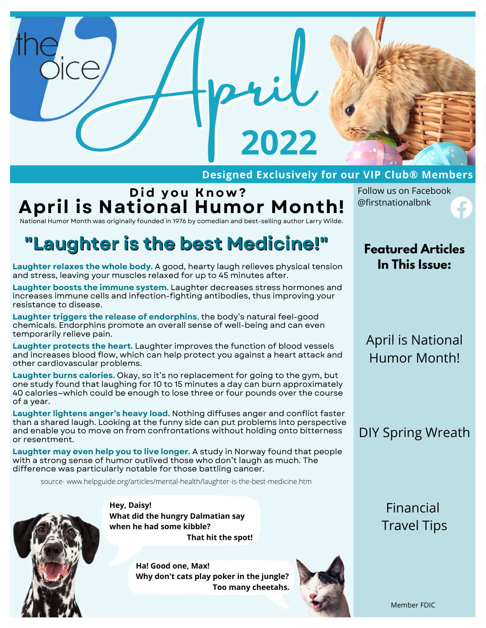

#### **Designed Exclusively for our VIP Club® Members**

#### **D i d you K no w ? April is National Humor Month!** National Humor Month was originally founded in 1976 by comedian and best-selling author Larry Wilde.

Follow us on Facebook @firstnationalbnk

# **"Laughter is the best Medicine!"**

**Laughter relaxes the whole body.** A good, hearty laugh relieves physical tension and stress, leaving your muscles relaxed for up to 45 minutes after.

**Laughter boosts the immune system.** Laughter decreases stress hormones and increases immune cells and infection-fighting antibodies, thus improving your resistance to disease.

**Laughter triggers the release of endorphins**, the body's natural feel-good chemicals. Endorphins promote an overall sense of well-being and can even temporarily relieve pain.

**Laughter protects the heart.** Laughter improves the function of blood vessels and increases blood flow, which can help protect you against a heart attack and other cardiovascular problems.

**Laughter burns calories.** Okay, so it's no replacement for going to the gym, but one study found that laughing for 10 to 15 minutes a day can burn approximately 40 calories—which could be enough to lose three or four pounds over the course of a year.

**Laughter lightens anger's heavy load.** Nothing diffuses anger and conflict faster than a shared laugh. Looking at the funny side can put problems into perspective and enable you to move on from confrontations without holding onto bitterness or resentment.

**Laughter may even help you to live longer.** A study in Norway found that people with a strong sense of humor outlived those who don't laugh as much. The difference was particularly notable for those battling cancer.

source- www.helpguide.org/articles/mental-health/laughter-is-the-best-medicine.htm



**Hey, Daisy! What did the hungry Dalmatian say when he had some kibble? That hit the spot!**

> **Ha! Good one, Max! Why don't cats play poker in the jungle? Too many cheetahs.**



**Featured Articles In This Issue:**

#### April is National Humor Month!

#### DIY Spring Wreath

Financial Travel Tips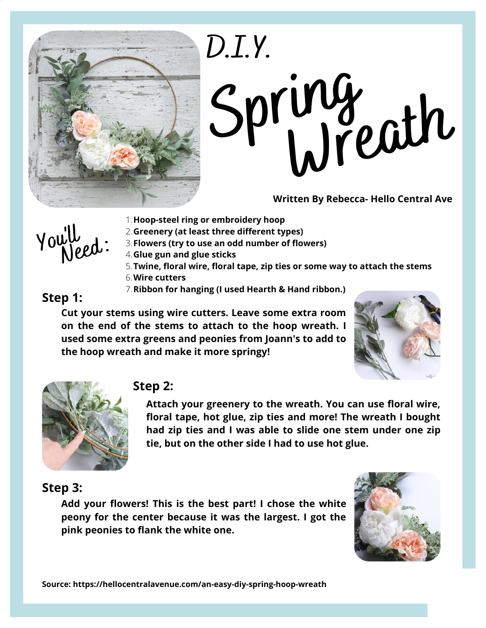

# **Spring Wreath D.I.Y.**

**Written By Rebecca- Hello Central Ave**

**Hoop-[steel](https://www.hobbylobby.com/Crafts-Hobbies/Basic-Crafts/Macrame/Steel-Ring---19%22/p/20854) ring or [embroi](http://www.joann.com/wood-quilt-hoop-18in-3-4in-depth/2810984.html#q=embroidery%2Bhoop&start=1)dery [hoop](http://www.joann.com/wood-quilt-hoop-18in-3-4in-depth/2810984.html#q=embroidery%2Bhoop&start=1)** 1.

**Greenery (at least three different types)** 2.



- **Flowers (try to use an odd number of flowers)** 3.
- **Glue gun and glue sticks** 4.
- **[Twine](https://amzn.to/2GENEdS), [floral](https://amzn.to/2J7WqzM) wire, [floral](https://amzn.to/2GBWyce) tape, zip ties or some way to attach the stems** 5.
- **Wire [cutters](https://amzn.to/2IgFiX0)** 6.
	- **[Ribbon](https://www.target.com/c/hearth-hand-with-magnolia/-/N-4k98u#?lnk=snav_rd_hearth_and_hand) for hanging (I used [Hearth](https://www.target.com/c/hearth-hand-with-magnolia/-/N-4k98u#?lnk=snav_rd_hearth_and_hand) & Hand ribbon.)** 7.

#### **Step 1:**

**Cut your stems using wire cutters. Leave some extra room on the end of the stems to attach to the hoop wreath. I used some extra greens and peonies from Joann's to add to the hoop wreath and make it more springy!**





#### **Step 2:**

**Attach your greenery to the wreath. You can use floral wire, floral tape, hot glue, zip ties and more! The wreath I bought had zip ties and I was able to slide one stem under one zip tie, but on the other side I had to use hot glue.**

#### **Step 3:**

**Add your flowers! This is the best part! I chose the white peony for the center because it was the largest. I got the pink peonies to flank the white one.**

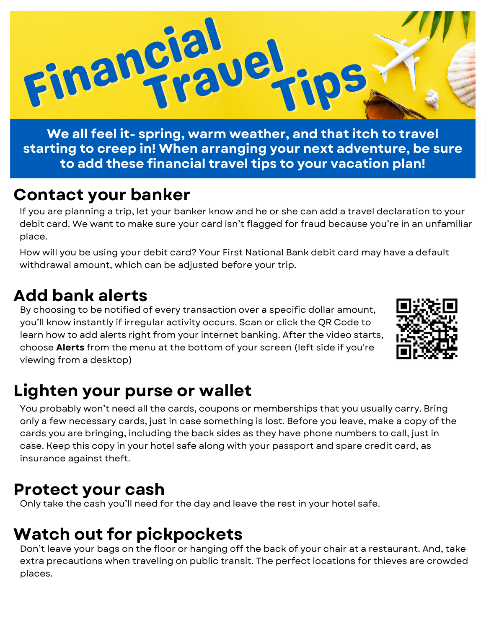

**We all feel it- spring, warm weather, and that itch to travel starting to creep in! When arranging your next adventure, be sure to add these financial travel tips to your vacation plan!**

#### **Contact your banker**

If you are planning a trip, let your banker know and he or she can add a travel declaration to your debit card. We want to make sure your card isn't flagged for fraud because you're in an unfamiliar place.

How will you be using your debit card? Your First National Bank debit card may have a default withdrawal amount, which can be adjusted before your trip.

## **Add bank alerts**

By choosing to be notified of every transaction over a specific dollar amount, you'll know instantly if irregular activity occurs. Scan or click the QR Code to learn how to add alerts right from your internet banking. After the video starts, choose **Alerts** from the menu at the bottom of your screen (left side if you're viewing from a desktop)



# **Lighten your purse or wallet**

You probably won't need all the cards, coupons or memberships that you usually carry. Bring only a few necessary cards, just in case something is lost. Before you leave, make a copy of the cards you are bringing, including the back sides as they have phone numbers to call, just in case. Keep this copy in your hotel safe along with your passport and spare credit card, as insurance against theft.

#### **Protect your cash**

Only take the cash you'll need for the day and leave the rest in your hotel safe.

# **Watch out for pickpockets**

Don't leave your bags on the floor or hanging off the back of your chair at a restaurant. And, take extra precautions when traveling on public transit. The perfect locations for thieves are crowded places.